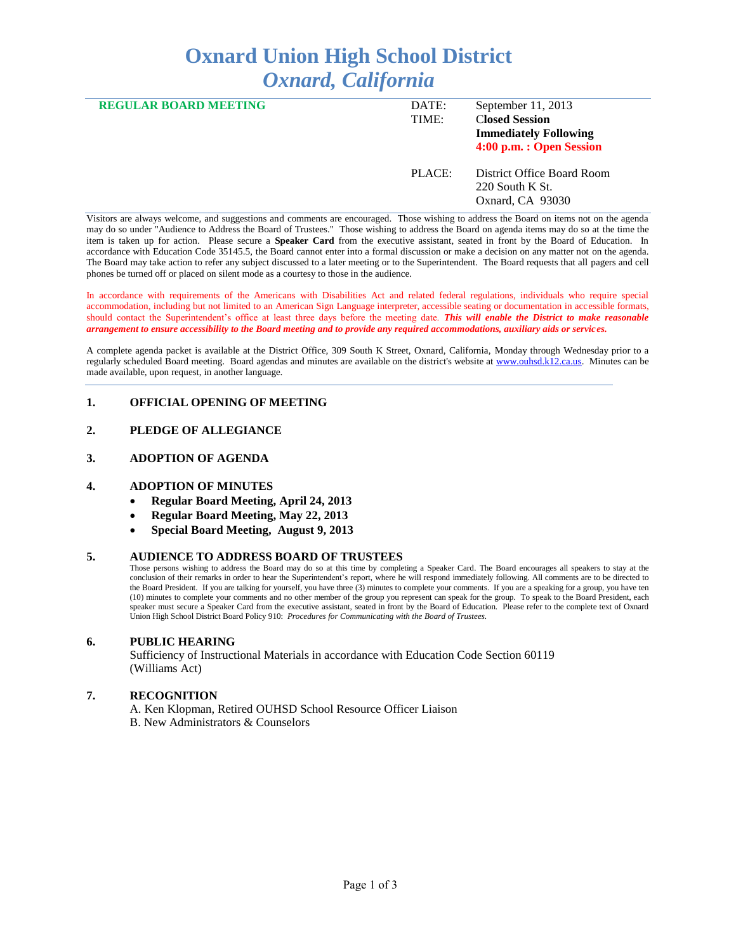# **Oxnard Union High School District** *Oxnard, California*

| <b>REGULAR BOARD MEETING</b> | DATE:<br>TIME: | September 11, 2013<br><b>Closed Session</b><br><b>Immediately Following</b><br>4:00 p.m. : Open Session |
|------------------------------|----------------|---------------------------------------------------------------------------------------------------------|
|                              | PLACE:         | District Office Board Room<br>$220$ South K St.<br>Oxnard, CA 93030                                     |

Visitors are always welcome, and suggestions and comments are encouraged. Those wishing to address the Board on items not on the agenda may do so under "Audience to Address the Board of Trustees." Those wishing to address the Board on agenda items may do so at the time the item is taken up for action. Please secure a **Speaker Card** from the executive assistant, seated in front by the Board of Education. In accordance with Education Code 35145.5, the Board cannot enter into a formal discussion or make a decision on any matter not on the agenda. The Board may take action to refer any subject discussed to a later meeting or to the Superintendent. The Board requests that all pagers and cell phones be turned off or placed on silent mode as a courtesy to those in the audience.

In accordance with requirements of the Americans with Disabilities Act and related federal regulations, individuals who require special accommodation, including but not limited to an American Sign Language interpreter, accessible seating or documentation in accessible formats, should contact the Superintendent's office at least three days before the meeting date. *This will enable the District to make reasonable arrangement to ensure accessibility to the Board meeting and to provide any required accommodations, auxiliary aids or services.* 

A complete agenda packet is available at the District Office, 309 South K Street, Oxnard, California, Monday through Wednesday prior to a regularly scheduled Board meeting. Board agendas and minutes are available on the district's website at [www.ouhsd.k12.ca.us.](http://www.ouhsd.k12.ca.us/)Minutes can be made available, upon request, in another language.

# **1. OFFICIAL OPENING OF MEETING**

# **2. PLEDGE OF ALLEGIANCE**

#### **3. ADOPTION OF AGENDA**

#### **4. ADOPTION OF MINUTES**

- **Regular Board Meeting, April 24, 2013**
- **Regular Board Meeting, May 22, 2013**
- **Special Board Meeting, August 9, 2013**

#### **5. AUDIENCE TO ADDRESS BOARD OF TRUSTEES**

Those persons wishing to address the Board may do so at this time by completing a Speaker Card. The Board encourages all speakers to stay at the conclusion of their remarks in order to hear the Superintendent's report, where he will respond immediately following. All comments are to be directed to the Board President. If you are talking for yourself, you have three (3) minutes to complete your comments. If you are a speaking for a group, you have ten (10) minutes to complete your comments and no other member of the group you represent can speak for the group. To speak to the Board President, each speaker must secure a Speaker Card from the executive assistant, seated in front by the Board of Education. Please refer to the complete text of Oxnard Union High School District Board Policy 910: *Procedures for Communicating with the Board of Trustees.*

#### **6. PUBLIC HEARING**

Sufficiency of Instructional Materials in accordance with Education Code Section 60119 (Williams Act)

#### **7. RECOGNITION**

A. Ken Klopman, Retired OUHSD School Resource Officer Liaison B. New Administrators & Counselors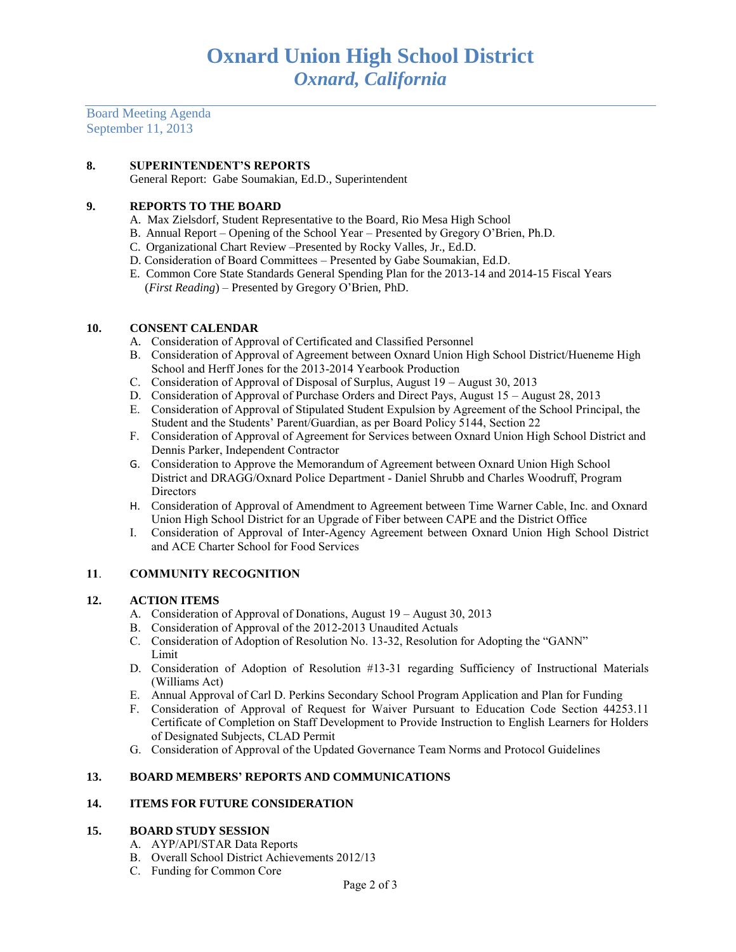Board Meeting Agenda September 11, 2013

## **8. SUPERINTENDENT'S REPORTS**

General Report: Gabe Soumakian, Ed.D., Superintendent

# **9. REPORTS TO THE BOARD**

- A. Max Zielsdorf, Student Representative to the Board, Rio Mesa High School
- B. Annual Report Opening of the School Year Presented by Gregory O'Brien, Ph.D.
- C. Organizational Chart Review –Presented by Rocky Valles, Jr., Ed.D.
- D. Consideration of Board Committees Presented by Gabe Soumakian, Ed.D.
- E. Common Core State Standards General Spending Plan for the 2013-14 and 2014-15 Fiscal Years (*First Reading*) – Presented by Gregory O'Brien, PhD.

# **10. CONSENT CALENDAR**

- A. Consideration of Approval of Certificated and Classified Personnel
- B. Consideration of Approval of Agreement between Oxnard Union High School District/Hueneme High School and Herff Jones for the 2013-2014 Yearbook Production
- C. Consideration of Approval of Disposal of Surplus, August 19 August 30, 2013
- D. Consideration of Approval of Purchase Orders and Direct Pays, August 15 August 28, 2013
- E. Consideration of Approval of Stipulated Student Expulsion by Agreement of the School Principal, the Student and the Students' Parent/Guardian, as per Board Policy 5144, Section 22
- F. Consideration of Approval of Agreement for Services between Oxnard Union High School District and Dennis Parker, Independent Contractor
- G. Consideration to Approve the Memorandum of Agreement between Oxnard Union High School District and DRAGG/Oxnard Police Department - Daniel Shrubb and Charles Woodruff, Program **Directors**
- H. Consideration of Approval of Amendment to Agreement between Time Warner Cable, Inc. and Oxnard Union High School District for an Upgrade of Fiber between CAPE and the District Office
- I. Consideration of Approval of Inter-Agency Agreement between Oxnard Union High School District and ACE Charter School for Food Services

# **11**. **COMMUNITY RECOGNITION**

## **12. ACTION ITEMS**

- A. Consideration of Approval of Donations, August 19 August 30, 2013
- B. Consideration of Approval of the 2012-2013 Unaudited Actuals
- C. Consideration of Adoption of Resolution No. 13-32, Resolution for Adopting the "GANN" Limit
- D. Consideration of Adoption of Resolution #13-31 regarding Sufficiency of Instructional Materials (Williams Act)
- E. Annual Approval of Carl D. Perkins Secondary School Program Application and Plan for Funding
- F. Consideration of Approval of Request for Waiver Pursuant to Education Code Section 44253.11 Certificate of Completion on Staff Development to Provide Instruction to English Learners for Holders of Designated Subjects, CLAD Permit
- G. Consideration of Approval of the Updated Governance Team Norms and Protocol Guidelines

# **13. BOARD MEMBERS' REPORTS AND COMMUNICATIONS**

## **14. ITEMS FOR FUTURE CONSIDERATION**

## **15. BOARD STUDY SESSION**

- A. AYP/API/STAR Data Reports
- B. Overall School District Achievements 2012/13
- C. Funding for Common Core